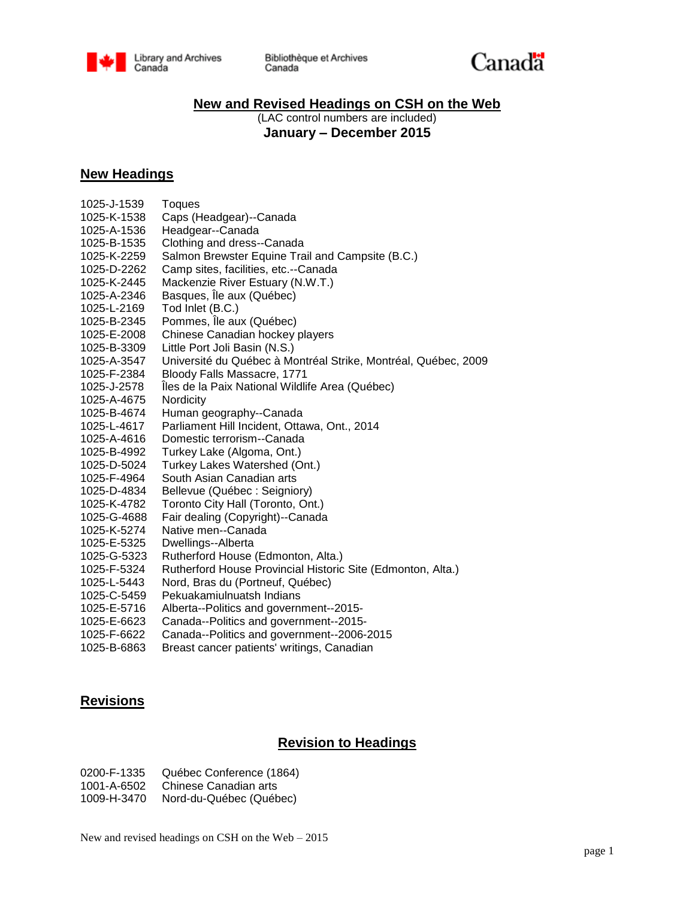



### **New and Revised Headings on CSH on the Web**

(LAC control numbers are included) **January – December 2015**

### **New Headings**

| 1025-J-1539 | Toques                                                         |  |
|-------------|----------------------------------------------------------------|--|
| 1025-K-1538 | Caps (Headgear)--Canada                                        |  |
| 1025-A-1536 | Headgear--Canada                                               |  |
| 1025-B-1535 | Clothing and dress--Canada                                     |  |
| 1025-K-2259 | Salmon Brewster Equine Trail and Campsite (B.C.)               |  |
|             |                                                                |  |
| 1025-D-2262 | Camp sites, facilities, etc.--Canada                           |  |
| 1025-K-2445 | Mackenzie River Estuary (N.W.T.)                               |  |
| 1025-A-2346 | Basques, Île aux (Québec)                                      |  |
| 1025-L-2169 | Tod Inlet (B.C.)                                               |  |
| 1025-B-2345 | Pommes, Île aux (Québec)                                       |  |
| 1025-E-2008 | Chinese Canadian hockey players                                |  |
| 1025-B-3309 | Little Port Joli Basin (N.S.)                                  |  |
| 1025-A-3547 | Université du Québec à Montréal Strike, Montréal, Québec, 2009 |  |
| 1025-F-2384 | Bloody Falls Massacre, 1771                                    |  |
| 1025-J-2578 | Îles de la Paix National Wildlife Area (Québec)                |  |
| 1025-A-4675 | Nordicity                                                      |  |
| 1025-B-4674 | Human geography--Canada                                        |  |
| 1025-L-4617 | Parliament Hill Incident, Ottawa, Ont., 2014                   |  |
| 1025-A-4616 | Domestic terrorism--Canada                                     |  |
| 1025-B-4992 | Turkey Lake (Algoma, Ont.)                                     |  |
| 1025-D-5024 | Turkey Lakes Watershed (Ont.)                                  |  |
| 1025-F-4964 | South Asian Canadian arts                                      |  |
| 1025-D-4834 | Bellevue (Québec : Seigniory)                                  |  |
| 1025-K-4782 | Toronto City Hall (Toronto, Ont.)                              |  |
| 1025-G-4688 | Fair dealing (Copyright)--Canada                               |  |
| 1025-K-5274 | Native men--Canada                                             |  |
| 1025-E-5325 | Dwellings--Alberta                                             |  |
| 1025-G-5323 | Rutherford House (Edmonton, Alta.)                             |  |
| 1025-F-5324 | Rutherford House Provincial Historic Site (Edmonton, Alta.)    |  |
| 1025-L-5443 | Nord, Bras du (Portneuf, Québec)                               |  |
| 1025-C-5459 | Pekuakamiulnuatsh Indians                                      |  |
| 1025-E-5716 | Alberta--Politics and government--2015-                        |  |
| 1025-E-6623 | Canada--Politics and government--2015-                         |  |
| 1025-F-6622 | Canada--Politics and government--2006-2015                     |  |
| 1025-B-6863 | Breast cancer patients' writings, Canadian                     |  |

# **Revisions**

## **Revision to Headings**

0200-F-1335 Québec Conference (1864) 1001-A-6502 Chinese Canadian arts 1009-H-3470 Nord-du-Québec (Québec)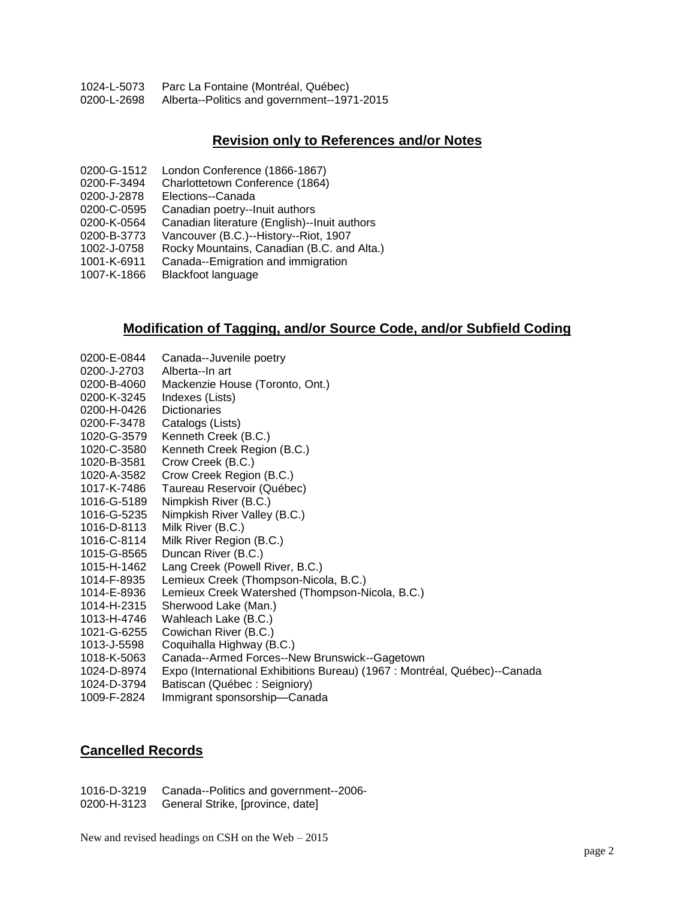1024-L-5073 Parc La Fontaine (Montréal, Québec) Alberta--Politics and government--1971-2015

#### **Revision only to References and/or Notes**

- 0200-G-1512 London Conference (1866-1867)
- 0200-F-3494 Charlottetown Conference (1864)
- 0200-J-2878 Elections--Canada
- 0200-C-0595 Canadian poetry--Inuit authors
- 0200-K-0564 Canadian literature (English)--Inuit authors
- 0200-B-3773 Vancouver (B.C.)--History--Riot, 1907
- 1002-J-0758 Rocky Mountains, Canadian (B.C. and Alta.)
- Canada--Emigration and immigration
- 1007-K-1866 Blackfoot language

#### **Modification of Tagging, and/or Source Code, and/or Subfield Coding**

| 0200-E-0844 | Canada--Juvenile poetry                                                   |
|-------------|---------------------------------------------------------------------------|
| 0200-J-2703 | Alberta--In art                                                           |
| 0200-B-4060 | Mackenzie House (Toronto, Ont.)                                           |
| 0200-K-3245 | Indexes (Lists)                                                           |
| 0200-H-0426 | <b>Dictionaries</b>                                                       |
| 0200-F-3478 | Catalogs (Lists)                                                          |
| 1020-G-3579 | Kenneth Creek (B.C.)                                                      |
| 1020-C-3580 | Kenneth Creek Region (B.C.)                                               |
| 1020-B-3581 | Crow Creek (B.C.)                                                         |
| 1020-A-3582 | Crow Creek Region (B.C.)                                                  |
| 1017-K-7486 | Taureau Reservoir (Québec)                                                |
| 1016-G-5189 | Nimpkish River (B.C.)                                                     |
| 1016-G-5235 | Nimpkish River Valley (B.C.)                                              |
| 1016-D-8113 | Milk River (B.C.)                                                         |
| 1016-C-8114 | Milk River Region (B.C.)                                                  |
| 1015-G-8565 | Duncan River (B.C.)                                                       |
| 1015-H-1462 | Lang Creek (Powell River, B.C.)                                           |
| 1014-F-8935 | Lemieux Creek (Thompson-Nicola, B.C.)                                     |
| 1014-E-8936 | Lemieux Creek Watershed (Thompson-Nicola, B.C.)                           |
| 1014-H-2315 | Sherwood Lake (Man.)                                                      |
| 1013-H-4746 | Wahleach Lake (B.C.)                                                      |
| 1021-G-6255 | Cowichan River (B.C.)                                                     |
| 1013-J-5598 | Coquihalla Highway (B.C.)                                                 |
| 1018-K-5063 | Canada--Armed Forces--New Brunswick--Gagetown                             |
| 1024-D-8974 | Expo (International Exhibitions Bureau) (1967 : Montréal, Québec)--Canada |
| 1024-D-3794 | Batiscan (Québec: Seigniory)                                              |
| 1009-F-2824 | Immigrant sponsorship-Canada                                              |

#### **Cancelled Records**

1016-D-3219 Canada--Politics and government--2006- General Strike, [province, date]